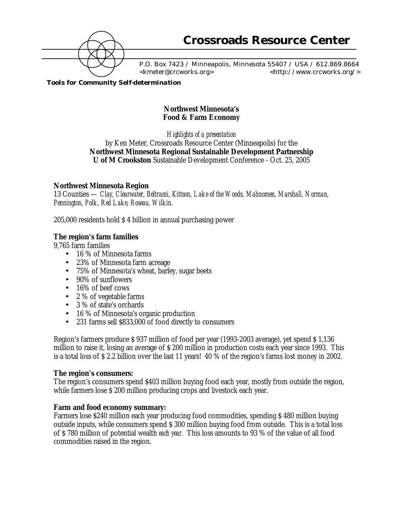

 P.O. Box 7423 / Minneapolis, Minnesota 55407 / USA / 612.869.8664 <kmeter@crcworks.org> <http://www.crcworks.org/>

*Tools for Community Self-determination*

# **Northwest Minnesota's Food & Farm Economy**

*Highlights of a presentation* by Ken Meter, Crossroads Resource Center (Minneapolis) for the **Northwest Minnesota Regional Sustainable Development Partnership U of M Crookston** Sustainable Development Conference - Oct. 25, 2005

## **Northwest Minnesota Region**

13 Counties — *Clay, Clearwater, Beltrami, Kittson, Lake of the Woods, Mahnomen, Marshall, Norman, Pennington, Polk, Red Lake, Roseau, Wilkin.*

205,000 residents hold \$ 4 billion in annual purchasing power

## **The region's farm families**

9,765 farm families

- 16 % of Minnesota farms
- 23% of Minnesota farm acreage
- 75% of Minnesota's wheat, barley, sugar beets
- 90% of sunflowers
- 16% of beef cows
- 2 % of vegetable farms
- 3 % of state's orchards
- 16 % of Minnesota's organic production
- 231 farms sell \$833,000 of food directly to consumers

Region's farmers produce \$ 937 million of food per year (1993-2003 average), yet spend \$ 1,136 million to raise it, losing an average of \$ 200 million in production costs each year since 1993. This is a total loss of \$ 2.2 billion over the last 11 years! 40 % of the region's farms lost money in 2002.

## **The region's consumers:**

The region's consumers spend \$403 million buying food each year, mostly from outside the region, while farmers lose \$ 200 million producing crops and livestock each year.

## **Farm and food economy summary:**

Farmers lose \$240 million each year producing food commodities, spending \$ 480 million buying outside inputs, while consumers spend \$ 300 million buying food from outside. This is a total loss of \$ 780 million of potential wealth *each year*. This loss amounts to 93 % of the value of all food commodities raised in the region.